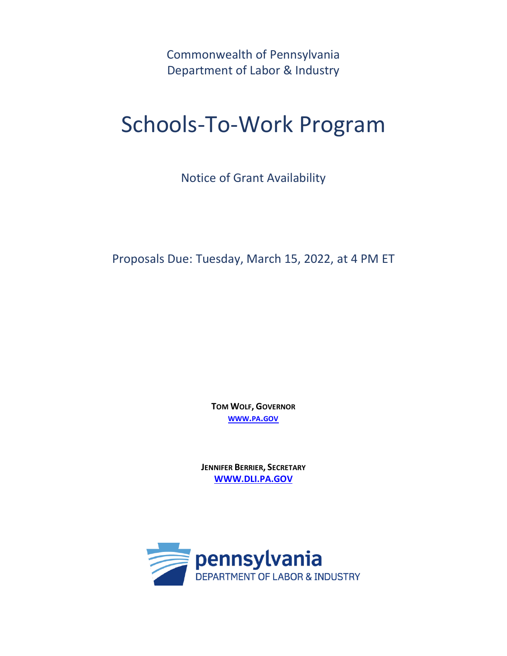Commonwealth of Pennsylvania Department of Labor & Industry

# Schools-To-Work Program

Notice of Grant Availability

Proposals Due: Tuesday, March 15, 2022, at 4 PM ET

**TOM WOLF, GOVERNOR [WWW](http://www.pa.gov/).PA.GOV**

**JENNIFER BERRIER, SECRETARY [WWW.DLI.PA.GOV](http://www.dli.pa.gov/)**

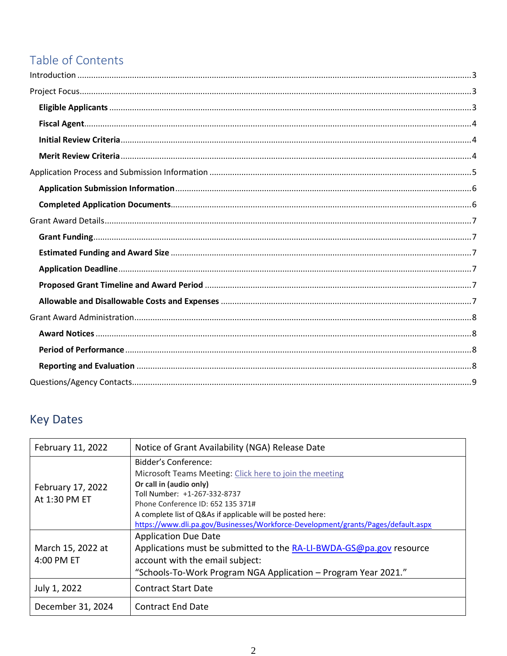# Table of Contents

# **Key Dates**

| February 11, 2022                  | Notice of Grant Availability (NGA) Release Date                                                                                                                                                                                                                                                                                    |
|------------------------------------|------------------------------------------------------------------------------------------------------------------------------------------------------------------------------------------------------------------------------------------------------------------------------------------------------------------------------------|
| February 17, 2022<br>At 1:30 PM ET | Bidder's Conference:<br>Microsoft Teams Meeting: Click here to join the meeting<br>Or call in (audio only)<br>Toll Number: +1-267-332-8737<br>Phone Conference ID: 652 135 371#<br>A complete list of Q&As if applicable will be posted here:<br>https://www.dli.pa.gov/Businesses/Workforce-Development/grants/Pages/default.aspx |
| March 15, 2022 at<br>4:00 PM ET    | <b>Application Due Date</b><br>Applications must be submitted to the RA-LI-BWDA-GS@pa.gov resource<br>account with the email subject:<br>"Schools-To-Work Program NGA Application - Program Year 2021."                                                                                                                            |
| July 1, 2022                       | <b>Contract Start Date</b>                                                                                                                                                                                                                                                                                                         |
| December 31, 2024                  | <b>Contract End Date</b>                                                                                                                                                                                                                                                                                                           |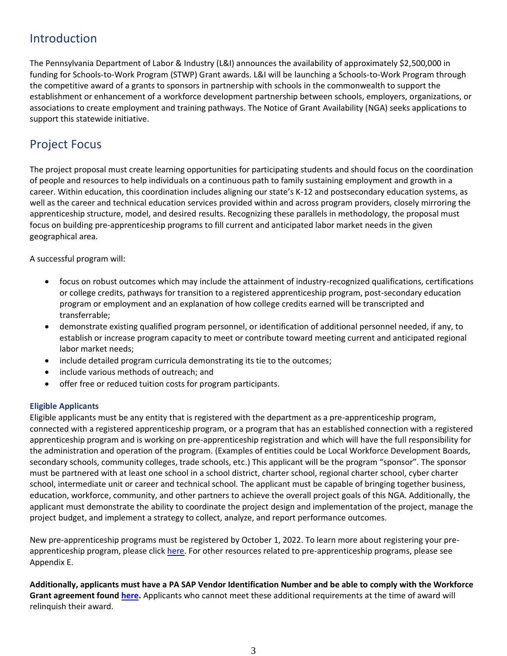# <span id="page-2-0"></span>Introduction

The Pennsylvania Department of Labor & Industry (L&I) announces the availability of approximately \$2,500,000 in funding for Schools-to-Work Program (STWP) Grant awards. L&I will be launching a Schools-to-Work Program through the competitive award of a grants to sponsors in partnership with schools in the commonwealth to support the establishment or enhancement of a workforce development partnership between schools, employers, organizations, or associations to create employment and training pathways. The Notice of Grant Availability (NGA) seeks applications to support this statewide initiative.

# <span id="page-2-1"></span>Project Focus

The project proposal must create learning opportunities for participating students and should focus on the coordination of people and resources to help individuals on a continuous path to family sustaining employment and growth in a career. Within education, this coordination includes aligning our state's K-12 and postsecondary education systems, as well as the career and technical education services provided within and across program providers, closely mirroring the apprenticeship structure, model, and desired results. Recognizing these parallels in methodology, the proposal must focus on building pre-apprenticeship programs to fill current and anticipated labor market needs in the given geographical area.

A successful program will:

- focus on robust outcomes which may include the attainment of industry-recognized qualifications, certifications or college credits, pathways for transition to a registered apprenticeship program, post-secondary education program or employment and an explanation of how college credits earned will be transcripted and transferrable;
- demonstrate existing qualified program personnel, or identification of additional personnel needed, if any, to establish or increase program capacity to meet or contribute toward meeting current and anticipated regional labor market needs;
- include detailed program curricula demonstrating its tie to the outcomes;
- include various methods of outreach; and
- offer free or reduced tuition costs for program participants.

### <span id="page-2-2"></span>**Eligible Applicants**

Eligible applicants must be any entity that is registered with the department as a pre-apprenticeship program, connected with a registered apprenticeship program, or a program that has an established connection with a registered apprenticeship program and is working on pre-apprenticeship registration and which will have the full responsibility for the administration and operation of the program. (Examples of entities could be Local Workforce Development Boards, secondary schools, community colleges, trade schools, etc.) This applicant will be the program "sponsor". The sponsor must be partnered with at least one school in a school district, charter school, regional charter school, cyber charter school, intermediate unit or career and technical school. The applicant must be capable of bringing together business, education, workforce, community, and other partners to achieve the overall project goals of this NGA. Additionally, the applicant must demonstrate the ability to coordinate the project design and implementation of the project, manage the project budget, and implement a strategy to collect, analyze, and report performance outcomes.

New pre-apprenticeship programs must be registered by October 1, 2022. To learn more about registering your preapprenticeship program, please click [here.](https://www.pacareerlink.pa.gov/jponline/Apprenticeships/InterestedInPreApprenticeship) For other resources related to pre-apprenticeship programs, please see Appendix E.

**Additionally, applicants must have a PA SAP Vendor Identification Number and be able to comply with the Workforce Grant agreement foun[d here.](https://www.dli.pa.gov/Businesses/Workforce-Development/grants/Pages/default.aspx)** Applicants who cannot meet these additional requirements at the time of award will relinquish their award.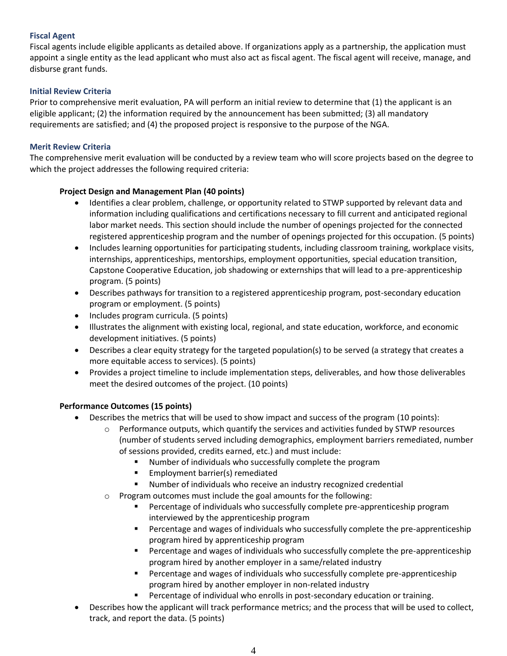# <span id="page-3-0"></span>**Fiscal Agent**

Fiscal agents include eligible applicants as detailed above. If organizations apply as a partnership, the application must appoint a single entity as the lead applicant who must also act as fiscal agent. The fiscal agent will receive, manage, and disburse grant funds.

# <span id="page-3-1"></span>**Initial Review Criteria**

Prior to comprehensive merit evaluation, PA will perform an initial review to determine that (1) the applicant is an eligible applicant; (2) the information required by the announcement has been submitted; (3) all mandatory requirements are satisfied; and (4) the proposed project is responsive to the purpose of the NGA.

### <span id="page-3-2"></span>**Merit Review Criteria**

The comprehensive merit evaluation will be conducted by a review team who will score projects based on the degree to which the project addresses the following required criteria:

# **Project Design and Management Plan (40 points)**

- Identifies a clear problem, challenge, or opportunity related to STWP supported by relevant data and information including qualifications and certifications necessary to fill current and anticipated regional labor market needs. This section should include the number of openings projected for the connected registered apprenticeship program and the number of openings projected for this occupation. (5 points)
- Includes learning opportunities for participating students, including classroom training, workplace visits, internships, apprenticeships, mentorships, employment opportunities, special education transition, Capstone Cooperative Education, job shadowing or externships that will lead to a pre-apprenticeship program. (5 points)
- Describes pathways for transition to a registered apprenticeship program, post-secondary education program or employment. (5 points)
- Includes program curricula. (5 points)
- Illustrates the alignment with existing local, regional, and state education, workforce, and economic development initiatives. (5 points)
- Describes a clear equity strategy for the targeted population(s) to be served (a strategy that creates a more equitable access to services). (5 points)
- Provides a project timeline to include implementation steps, deliverables, and how those deliverables meet the desired outcomes of the project. (10 points)

### **Performance Outcomes (15 points)**

- Describes the metrics that will be used to show impact and success of the program (10 points):
	- $\circ$  Performance outputs, which quantify the services and activities funded by STWP resources (number of students served including demographics, employment barriers remediated, number of sessions provided, credits earned, etc.) and must include:
		- Number of individuals who successfully complete the program
		- Employment barrier(s) remediated
		- Number of individuals who receive an industry recognized credential
	- o Program outcomes must include the goal amounts for the following:
		- Percentage of individuals who successfully complete pre-apprenticeship program interviewed by the apprenticeship program
		- Percentage and wages of individuals who successfully complete the pre-apprenticeship program hired by apprenticeship program
		- Percentage and wages of individuals who successfully complete the pre-apprenticeship program hired by another employer in a same/related industry
		- Percentage and wages of individuals who successfully complete pre-apprenticeship program hired by another employer in non-related industry
		- Percentage of individual who enrolls in post-secondary education or training.
- Describes how the applicant will track performance metrics; and the process that will be used to collect, track, and report the data. (5 points)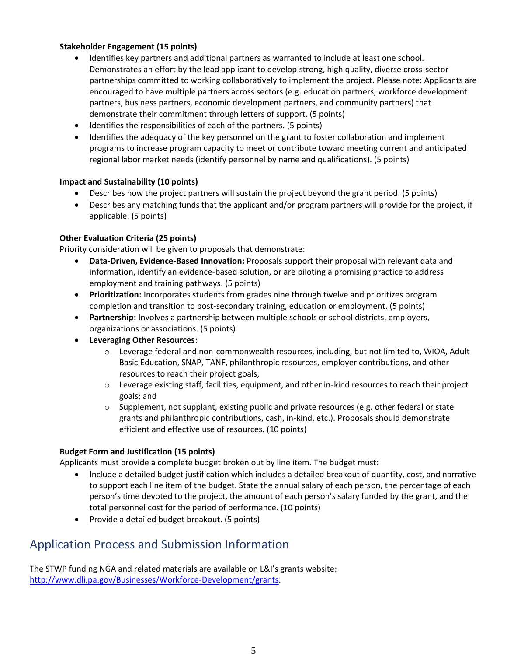# **Stakeholder Engagement (15 points)**

- Identifies key partners and additional partners as warranted to include at least one school. Demonstrates an effort by the lead applicant to develop strong, high quality, diverse cross-sector partnerships committed to working collaboratively to implement the project. Please note: Applicants are encouraged to have multiple partners across sectors (e.g. education partners, workforce development partners, business partners, economic development partners, and community partners) that demonstrate their commitment through letters of support. (5 points)
- Identifies the responsibilities of each of the partners. (5 points)
- Identifies the adequacy of the key personnel on the grant to foster collaboration and implement programs to increase program capacity to meet or contribute toward meeting current and anticipated regional labor market needs (identify personnel by name and qualifications). (5 points)

#### **Impact and Sustainability (10 points)**

- Describes how the project partners will sustain the project beyond the grant period. (5 points)
- Describes any matching funds that the applicant and/or program partners will provide for the project, if applicable. (5 points)

### **Other Evaluation Criteria (25 points)**

Priority consideration will be given to proposals that demonstrate:

- **Data-Driven, Evidence-Based Innovation:** Proposals support their proposal with relevant data and information, identify an evidence-based solution, or are piloting a promising practice to address employment and training pathways. (5 points)
- **Prioritization:** Incorporates students from grades nine through twelve and prioritizes program completion and transition to post-secondary training, education or employment. (5 points)
- **Partnership:** Involves a partnership between multiple schools or school districts, employers, organizations or associations. (5 points)
- **Leveraging Other Resources**:
	- $\circ$  Leverage federal and non-commonwealth resources, including, but not limited to, WIOA, Adult Basic Education, SNAP, TANF, philanthropic resources, employer contributions, and other resources to reach their project goals;
	- $\circ$  Leverage existing staff, facilities, equipment, and other in-kind resources to reach their project goals; and
	- $\circ$  Supplement, not supplant, existing public and private resources (e.g. other federal or state grants and philanthropic contributions, cash, in-kind, etc.). Proposals should demonstrate efficient and effective use of resources. (10 points)

### **Budget Form and Justification (15 points)**

Applicants must provide a complete budget broken out by line item. The budget must:

- Include a detailed budget justification which includes a detailed breakout of quantity, cost, and narrative to support each line item of the budget. State the annual salary of each person, the percentage of each person's time devoted to the project, the amount of each person's salary funded by the grant, and the total personnel cost for the period of performance. (10 points)
- Provide a detailed budget breakout. (5 points)

# <span id="page-4-0"></span>Application Process and Submission Information

<span id="page-4-1"></span>The STWP funding NGA and related materials are available on L&I's grants website: [http://www.dli.pa.gov/Businesses/Workforce-Development/grants.](http://www.dli.pa.gov/Businesses/Workforce-Development/grants)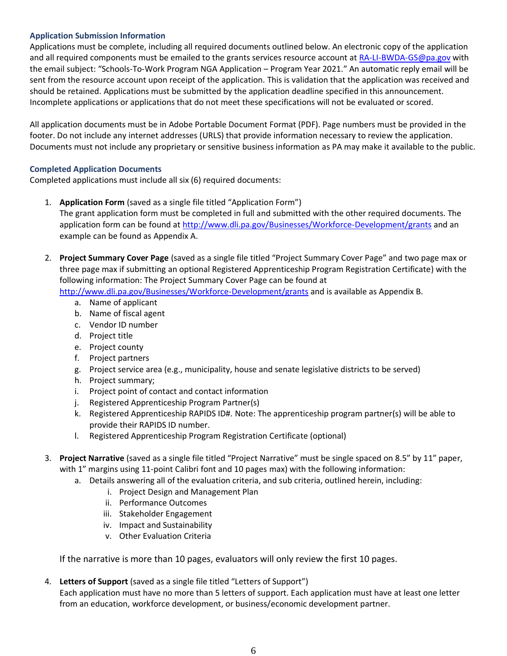# **Application Submission Information**

Applications must be complete, including all required documents outlined below. An electronic copy of the application and all required components must be emailed to the grants services resource account a[t RA-LI-BWDA-GS@pa.gov](mailto:RA-LI-BWDA-GS@pa.gov) with the email subject: "Schools-To-Work Program NGA Application – Program Year 2021." An automatic reply email will be sent from the resource account upon receipt of the application. This is validation that the application was received and should be retained. Applications must be submitted by the application deadline specified in this announcement. Incomplete applications or applications that do not meet these specifications will not be evaluated or scored.

All application documents must be in Adobe Portable Document Format (PDF). Page numbers must be provided in the footer. Do not include any internet addresses (URLS) that provide information necessary to review the application. Documents must not include any proprietary or sensitive business information as PA may make it available to the public.

# <span id="page-5-0"></span>**Completed Application Documents**

Completed applications must include all six (6) required documents:

- 1. **Application Form** (saved as a single file titled "Application Form") The grant application form must be completed in full and submitted with the other required documents. The application form can be found at<http://www.dli.pa.gov/Businesses/Workforce-Development/grants> and an example can be found as Appendix A.
- 2. **Project Summary Cover Page** (saved as a single file titled "Project Summary Cover Page" and two page max or three page max if submitting an optional Registered Apprenticeship Program Registration Certificate) with the following information: The Project Summary Cover Page can be found at

<http://www.dli.pa.gov/Businesses/Workforce-Development/grants> and is available as Appendix B.

- a. Name of applicant
- b. Name of fiscal agent
- c. Vendor ID number
- d. Project title
- e. Project county
- f. Project partners
- g. Project service area (e.g., municipality, house and senate legislative districts to be served)
- h. Project summary;
- i. Project point of contact and contact information
- j. Registered Apprenticeship Program Partner(s)
- k. Registered Apprenticeship RAPIDS ID#. Note: The apprenticeship program partner(s) will be able to provide their RAPIDS ID number.
- l. Registered Apprenticeship Program Registration Certificate (optional)
- 3. **Project Narrative** (saved as a single file titled "Project Narrative" must be single spaced on 8.5" by 11" paper, with 1" margins using 11-point Calibri font and 10 pages max) with the following information:
	- a. Details answering all of the evaluation criteria, and sub criteria, outlined herein, including:
		- i. Project Design and Management Plan
		- ii. Performance Outcomes
		- iii. Stakeholder Engagement
		- iv. Impact and Sustainability
		- v. Other Evaluation Criteria

If the narrative is more than 10 pages, evaluators will only review the first 10 pages.

# 4. **Letters of Support** (saved as a single file titled "Letters of Support")

Each application must have no more than 5 letters of support. Each application must have at least one letter from an education, workforce development, or business/economic development partner.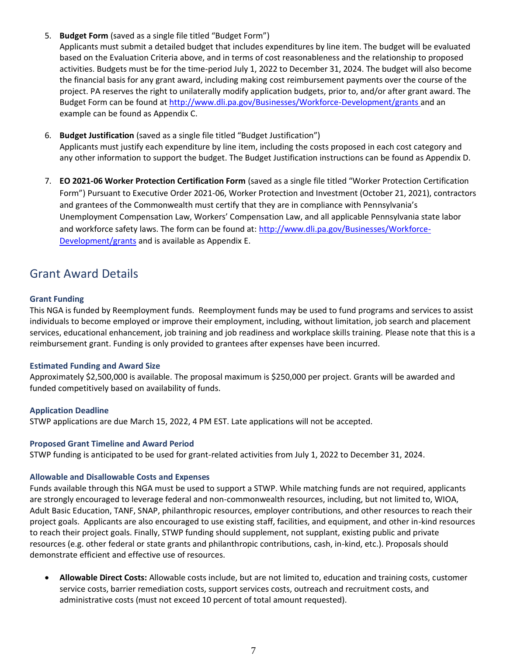5. **Budget Form** (saved as a single file titled "Budget Form")

Applicants must submit a detailed budget that includes expenditures by line item. The budget will be evaluated based on the Evaluation Criteria above, and in terms of cost reasonableness and the relationship to proposed activities. Budgets must be for the time-period July 1, 2022 to December 31, 2024. The budget will also become the financial basis for any grant award, including making cost reimbursement payments over the course of the project. PA reserves the right to unilaterally modify application budgets, prior to, and/or after grant award. The Budget Form can be found at<http://www.dli.pa.gov/Businesses/Workforce-Development/grants> and an example can be found as Appendix C.

- 6. **Budget Justification** (saved as a single file titled "Budget Justification") Applicants must justify each expenditure by line item, including the costs proposed in each cost category and any other information to support the budget. The Budget Justification instructions can be found as Appendix D.
- 7. **EO 2021-06 Worker Protection Certification Form** (saved as a single file titled "Worker Protection Certification Form") Pursuant to Executive Order 2021-06, Worker Protection and Investment (October 21, 2021), contractors and grantees of the Commonwealth must certify that they are in compliance with Pennsylvania's Unemployment Compensation Law, Workers' Compensation Law, and all applicable Pennsylvania state labor and workforce safety laws. The form can be found at: [http://www.dli.pa.gov/Businesses/Workforce-](http://www.dli.pa.gov/Businesses/Workforce-Development/grants)[Development/grants](http://www.dli.pa.gov/Businesses/Workforce-Development/grants) and is available as Appendix E.

# <span id="page-6-0"></span>Grant Award Details

### <span id="page-6-1"></span>**Grant Funding**

This NGA is funded by Reemployment funds. Reemployment funds may be used to fund programs and services to assist individuals to become employed or improve their employment, including, without limitation, job search and placement services, educational enhancement, job training and job readiness and workplace skills training. Please note that this is a reimbursement grant. Funding is only provided to grantees after expenses have been incurred.

### <span id="page-6-2"></span>**Estimated Funding and Award Size**

Approximately \$2,500,000 is available. The proposal maximum is \$250,000 per project. Grants will be awarded and funded competitively based on availability of funds.

### <span id="page-6-3"></span>**Application Deadline**

STWP applications are due March 15, 2022, 4 PM EST. Late applications will not be accepted.

#### <span id="page-6-4"></span>**Proposed Grant Timeline and Award Period**

STWP funding is anticipated to be used for grant-related activities from July 1, 2022 to December 31, 2024.

#### <span id="page-6-5"></span>**Allowable and Disallowable Costs and Expenses**

Funds available through this NGA must be used to support a STWP. While matching funds are not required, applicants are strongly encouraged to leverage federal and non-commonwealth resources, including, but not limited to, WIOA, Adult Basic Education, TANF, SNAP, philanthropic resources, employer contributions, and other resources to reach their project goals. Applicants are also encouraged to use existing staff, facilities, and equipment, and other in-kind resources to reach their project goals. Finally, STWP funding should supplement, not supplant, existing public and private resources (e.g. other federal or state grants and philanthropic contributions, cash, in-kind, etc.). Proposals should demonstrate efficient and effective use of resources.

• **Allowable Direct Costs:** Allowable costs include, but are not limited to, education and training costs, customer service costs, barrier remediation costs, support services costs, outreach and recruitment costs, and administrative costs (must not exceed 10 percent of total amount requested).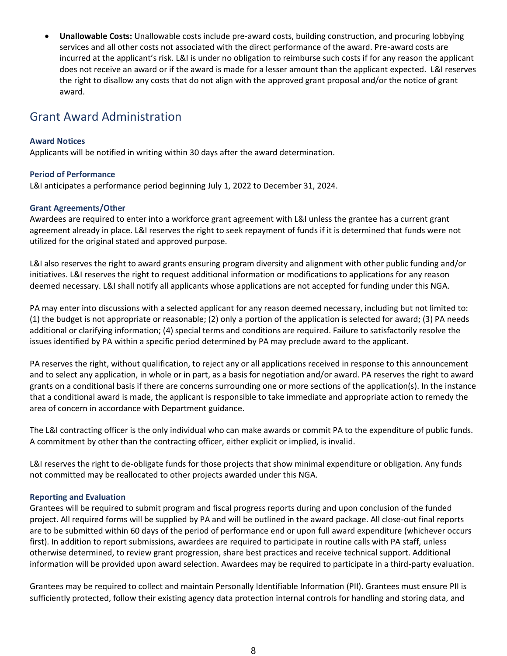• **Unallowable Costs:** Unallowable costs include pre-award costs, building construction, and procuring lobbying services and all other costs not associated with the direct performance of the award. Pre-award costs are incurred at the applicant's risk. L&I is under no obligation to reimburse such costs if for any reason the applicant does not receive an award or if the award is made for a lesser amount than the applicant expected. L&I reserves the right to disallow any costs that do not align with the approved grant proposal and/or the notice of grant award.

# <span id="page-7-0"></span>Grant Award Administration

### <span id="page-7-1"></span>**Award Notices**

Applicants will be notified in writing within 30 days after the award determination.

# <span id="page-7-2"></span>**Period of Performance**

L&I anticipates a performance period beginning July 1, 2022 to December 31, 2024.

# **Grant Agreements/Other**

Awardees are required to enter into a workforce grant agreement with L&I unless the grantee has a current grant agreement already in place. L&I reserves the right to seek repayment of funds if it is determined that funds were not utilized for the original stated and approved purpose.

L&I also reserves the right to award grants ensuring program diversity and alignment with other public funding and/or initiatives. L&I reserves the right to request additional information or modifications to applications for any reason deemed necessary. L&I shall notify all applicants whose applications are not accepted for funding under this NGA.

PA may enter into discussions with a selected applicant for any reason deemed necessary, including but not limited to: (1) the budget is not appropriate or reasonable; (2) only a portion of the application is selected for award; (3) PA needs additional or clarifying information; (4) special terms and conditions are required. Failure to satisfactorily resolve the issues identified by PA within a specific period determined by PA may preclude award to the applicant.

PA reserves the right, without qualification, to reject any or all applications received in response to this announcement and to select any application, in whole or in part, as a basis for negotiation and/or award. PA reserves the right to award grants on a conditional basis if there are concerns surrounding one or more sections of the application(s). In the instance that a conditional award is made, the applicant is responsible to take immediate and appropriate action to remedy the area of concern in accordance with Department guidance.

The L&I contracting officer is the only individual who can make awards or commit PA to the expenditure of public funds. A commitment by other than the contracting officer, either explicit or implied, is invalid.

L&I reserves the right to de-obligate funds for those projects that show minimal expenditure or obligation. Any funds not committed may be reallocated to other projects awarded under this NGA.

### <span id="page-7-3"></span>**Reporting and Evaluation**

Grantees will be required to submit program and fiscal progress reports during and upon conclusion of the funded project. All required forms will be supplied by PA and will be outlined in the award package. All close-out final reports are to be submitted within 60 days of the period of performance end or upon full award expenditure (whichever occurs first). In addition to report submissions, awardees are required to participate in routine calls with PA staff, unless otherwise determined, to review grant progression, share best practices and receive technical support. Additional information will be provided upon award selection. Awardees may be required to participate in a third-party evaluation.

Grantees may be required to collect and maintain Personally Identifiable Information (PII). Grantees must ensure PII is sufficiently protected, follow their existing agency data protection internal controls for handling and storing data, and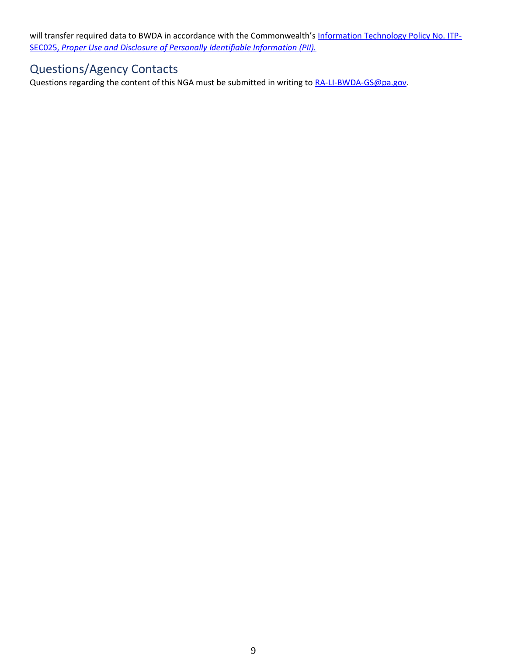will transfer required data to BWDA in accordance with the Commonwealth's [Information Technology Policy No. ITP-](https://www.oa.pa.gov/Policies/Documents/itp_sec025.pdf)SEC025, *[Proper Use and Disclosure of Personally Identifiable Information \(PII\).](https://www.oa.pa.gov/Policies/Documents/itp_sec025.pdf)*

# <span id="page-8-0"></span>Questions/Agency Contacts

Questions regarding the content of this NGA must be submitted in writing to [RA-LI-BWDA-GS@pa.gov.](mailto:RA-LI-BWDA-GS@pa.gov)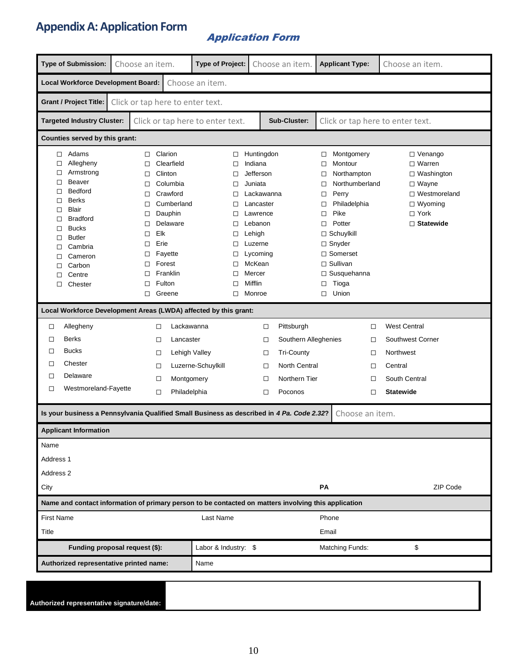# **Appendix A: Application Form**

# Application Form

|                                                                                                                                                                                                                                                                     |                                                                                                                                                           |                                                                                                |                                                                                        | <b>Type of Project:</b>                                                                                                                                         | Choose an item.                                                                                      |                                                               | <b>Applicant Type:</b>                                                                                                                                                                                  | Choose an item.                                                                                                                   |  |
|---------------------------------------------------------------------------------------------------------------------------------------------------------------------------------------------------------------------------------------------------------------------|-----------------------------------------------------------------------------------------------------------------------------------------------------------|------------------------------------------------------------------------------------------------|----------------------------------------------------------------------------------------|-----------------------------------------------------------------------------------------------------------------------------------------------------------------|------------------------------------------------------------------------------------------------------|---------------------------------------------------------------|---------------------------------------------------------------------------------------------------------------------------------------------------------------------------------------------------------|-----------------------------------------------------------------------------------------------------------------------------------|--|
| <b>Local Workforce Development Board:</b><br>Choose an item.                                                                                                                                                                                                        |                                                                                                                                                           |                                                                                                |                                                                                        |                                                                                                                                                                 |                                                                                                      |                                                               |                                                                                                                                                                                                         |                                                                                                                                   |  |
| Grant / Project Title:<br>Click or tap here to enter text.                                                                                                                                                                                                          |                                                                                                                                                           |                                                                                                |                                                                                        |                                                                                                                                                                 |                                                                                                      |                                                               |                                                                                                                                                                                                         |                                                                                                                                   |  |
| <b>Targeted Industry Cluster:</b>                                                                                                                                                                                                                                   |                                                                                                                                                           |                                                                                                | Click or tap here to enter text.                                                       |                                                                                                                                                                 | Sub-Cluster:                                                                                         |                                                               |                                                                                                                                                                                                         | Click or tap here to enter text.                                                                                                  |  |
| Counties served by this grant:                                                                                                                                                                                                                                      |                                                                                                                                                           |                                                                                                |                                                                                        |                                                                                                                                                                 |                                                                                                      |                                                               |                                                                                                                                                                                                         |                                                                                                                                   |  |
| $\Box$ Adams<br>Allegheny<br>□<br>Armstrong<br>□<br>Beaver<br>□<br>Bedford<br>□<br><b>Berks</b><br>□<br>Blair<br>□<br><b>Bradford</b><br>□<br><b>Bucks</b><br>□<br><b>Butler</b><br>□<br>Cambria<br>□<br>Cameron<br>□<br>Carbon<br>□<br>Centre<br>□<br>Chester<br>□ | Clarion<br>$\Box$<br>$\Box$<br>Clinton<br>□<br>□<br>□<br>□<br>$\Box$<br>$\Box$<br>Elk<br>$\Box$<br>Erie<br>□<br>$\Box$<br>Forest<br>□<br>□<br>Fulton<br>□ | Clearfield<br>Columbia<br>Crawford<br>Cumberland<br>Dauphin<br>Delaware<br>Fayette<br>Franklin | □<br>$\Box$<br>□<br>□<br>□<br>□<br>$\Box$<br>$\Box$<br>$\Box$<br>□<br>□<br>□<br>□<br>□ | Huntingdon<br>Indiana<br>Jefferson<br>Juniata<br>Lackawanna<br>Lancaster<br>Lawrence<br>Lebanon<br>Lehigh<br>Luzerne<br>Lycoming<br>McKean<br>Mercer<br>Mifflin |                                                                                                      | $\Box$<br>□<br>$\Box$<br>□<br>$\Box$<br>□<br>□<br>$\Box$<br>□ | Montgomery<br>Montour<br>Northampton<br>Northumberland<br>Perry<br>Philadelphia<br>Pike<br>Potter<br>$\Box$ Schuylkill<br>$\Box$ Snyder<br>$\Box$ Somerset<br>$\Box$ Sullivan<br>□ Susquehanna<br>Tioga | □ Venango<br>$\Box$ Warren<br>$\Box$ Washington<br>$\Box$ Wayne<br>□ Westmoreland<br>$\Box$ Wyoming<br>□ York<br>$\Box$ Statewide |  |
|                                                                                                                                                                                                                                                                     | □<br>Greene                                                                                                                                               |                                                                                                | □                                                                                      | Monroe                                                                                                                                                          |                                                                                                      | □                                                             | Union                                                                                                                                                                                                   |                                                                                                                                   |  |
| Local Workforce Development Areas (LWDA) affected by this grant:                                                                                                                                                                                                    |                                                                                                                                                           |                                                                                                |                                                                                        |                                                                                                                                                                 |                                                                                                      |                                                               |                                                                                                                                                                                                         |                                                                                                                                   |  |
| Allegheny<br>□<br><b>Berks</b><br>□<br><b>Bucks</b><br>□<br>Chester<br>$\Box$<br>Delaware<br>□<br>Westmoreland-Fayette<br>$\Box$                                                                                                                                    | □<br>$\Box$<br>$\Box$<br>□<br>$\Box$<br>$\Box$                                                                                                            | Lackawanna<br>Lancaster<br>Lehigh Valley<br>Montgomery<br>Philadelphia                         | Luzerne-Schuylkill                                                                     | $\Box$<br>$\Box$<br>□<br>□<br>$\Box$<br>$\Box$                                                                                                                  | Pittsburgh<br>Southern Alleghenies<br><b>Tri-County</b><br>North Central<br>Northern Tier<br>Poconos |                                                               | □<br>□<br>□<br>□<br>□<br>□                                                                                                                                                                              | <b>West Central</b><br>Southwest Corner<br>Northwest<br>Central<br>South Central<br><b>Statewide</b>                              |  |
| Is your business a Pennsylvania Qualified Small Business as described in 4 Pa. Code 2.32?                                                                                                                                                                           |                                                                                                                                                           |                                                                                                |                                                                                        |                                                                                                                                                                 |                                                                                                      |                                                               | Choose an item.                                                                                                                                                                                         |                                                                                                                                   |  |
| <b>Applicant Information</b>                                                                                                                                                                                                                                        |                                                                                                                                                           |                                                                                                |                                                                                        |                                                                                                                                                                 |                                                                                                      |                                                               |                                                                                                                                                                                                         |                                                                                                                                   |  |
| Name<br>Address 1<br>Address 2                                                                                                                                                                                                                                      |                                                                                                                                                           |                                                                                                |                                                                                        |                                                                                                                                                                 |                                                                                                      |                                                               |                                                                                                                                                                                                         |                                                                                                                                   |  |
| City                                                                                                                                                                                                                                                                |                                                                                                                                                           |                                                                                                |                                                                                        |                                                                                                                                                                 |                                                                                                      | <b>PA</b>                                                     |                                                                                                                                                                                                         | ZIP Code                                                                                                                          |  |
| Name and contact information of primary person to be contacted on matters involving this application                                                                                                                                                                |                                                                                                                                                           |                                                                                                |                                                                                        |                                                                                                                                                                 |                                                                                                      |                                                               |                                                                                                                                                                                                         |                                                                                                                                   |  |
| <b>First Name</b>                                                                                                                                                                                                                                                   |                                                                                                                                                           |                                                                                                | Last Name                                                                              |                                                                                                                                                                 |                                                                                                      | Phone                                                         |                                                                                                                                                                                                         |                                                                                                                                   |  |
| Title                                                                                                                                                                                                                                                               |                                                                                                                                                           |                                                                                                |                                                                                        |                                                                                                                                                                 |                                                                                                      | Email                                                         |                                                                                                                                                                                                         |                                                                                                                                   |  |
| Funding proposal request (\$):                                                                                                                                                                                                                                      |                                                                                                                                                           | Labor & Industry: \$                                                                           |                                                                                        |                                                                                                                                                                 |                                                                                                      | <b>Matching Funds:</b>                                        | \$                                                                                                                                                                                                      |                                                                                                                                   |  |
| Authorized representative printed name:                                                                                                                                                                                                                             |                                                                                                                                                           |                                                                                                | Name                                                                                   |                                                                                                                                                                 |                                                                                                      |                                                               |                                                                                                                                                                                                         |                                                                                                                                   |  |
|                                                                                                                                                                                                                                                                     |                                                                                                                                                           |                                                                                                |                                                                                        |                                                                                                                                                                 |                                                                                                      |                                                               |                                                                                                                                                                                                         |                                                                                                                                   |  |

| Authorized representative signature/date: |  |  |
|-------------------------------------------|--|--|
|                                           |  |  |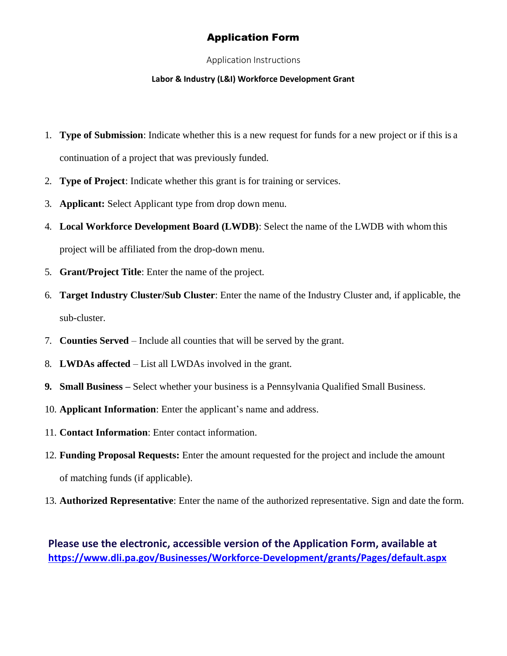# Application Form

Application Instructions

# **Labor & Industry (L&I) Workforce Development Grant**

- 1. **Type of Submission**: Indicate whether this is a new request for funds for a new project or if this is a continuation of a project that was previously funded.
- 2. **Type of Project**: Indicate whether this grant is for training or services.
- 3. **Applicant:** Select Applicant type from drop down menu.
- 4. **Local Workforce Development Board (LWDB)**: Select the name of the LWDB with whom this project will be affiliated from the drop-down menu.
- 5. **Grant/Project Title**: Enter the name of the project.
- 6. **Target Industry Cluster/Sub Cluster**: Enter the name of the Industry Cluster and, if applicable, the sub-cluster.
- 7. **Counties Served**  Include all counties that will be served by the grant.
- 8. **LWDAs affected**  List all LWDAs involved in the grant.
- **9. Small Business –** Select whether your business is a Pennsylvania Qualified Small Business.
- 10. **Applicant Information**: Enter the applicant's name and address.
- 11. **Contact Information**: Enter contact information.
- 12. **Funding Proposal Requests:** Enter the amount requested for the project and include the amount of matching funds (if applicable).
- 13. **Authorized Representative**: Enter the name of the authorized representative. Sign and date the form.

**Please use the electronic, accessible version of the Application Form, available at <https://www.dli.pa.gov/Businesses/Workforce-Development/grants/Pages/default.aspx>**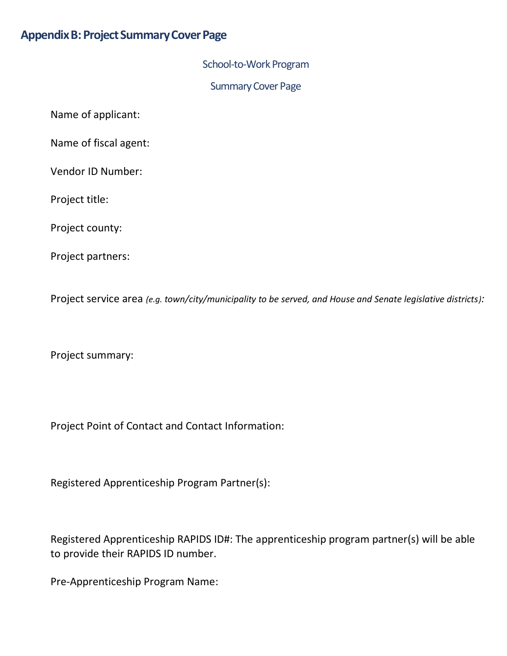# **Appendix B: Project Summary Cover Page**

School-to-Work Program

Summary Cover Page

Name of applicant:

Name of fiscal agent:

Vendor ID Number:

Project title:

Project county:

Project partners:

Project service area *(e.g. town/city/municipality to be served, and House and Senate legislative districts):*

Project summary:

Project Point of Contact and Contact Information:

Registered Apprenticeship Program Partner(s):

Registered Apprenticeship RAPIDS ID#: The apprenticeship program partner(s) will be able to provide their RAPIDS ID number.

Pre-Apprenticeship Program Name: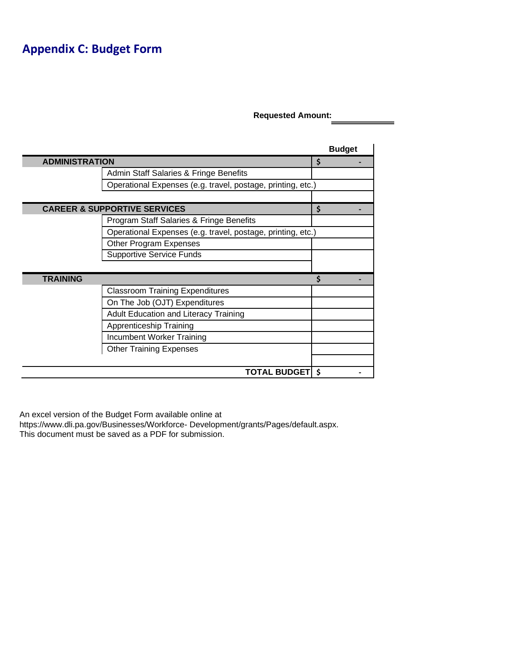# **Appendix C: Budget Form**

**Requested Amount:**

|                       |                                                             | <b>Budget</b> |
|-----------------------|-------------------------------------------------------------|---------------|
| <b>ADMINISTRATION</b> |                                                             | \$            |
|                       | Admin Staff Salaries & Fringe Benefits                      |               |
|                       | Operational Expenses (e.g. travel, postage, printing, etc.) |               |
|                       |                                                             |               |
|                       | <b>CAREER &amp; SUPPORTIVE SERVICES</b>                     | \$            |
|                       | Program Staff Salaries & Fringe Benefits                    |               |
|                       | Operational Expenses (e.g. travel, postage, printing, etc.) |               |
|                       | Other Program Expenses                                      |               |
|                       | <b>Supportive Service Funds</b>                             |               |
|                       |                                                             |               |
| <b>TRAINING</b>       |                                                             | Ś             |
|                       | <b>Classroom Training Expenditures</b>                      |               |
|                       | On The Job (OJT) Expenditures                               |               |
|                       | <b>Adult Education and Literacy Training</b>                |               |
|                       | Apprenticeship Training                                     |               |
|                       | Incumbent Worker Training                                   |               |
|                       | <b>Other Training Expenses</b>                              |               |
|                       |                                                             |               |
|                       | <b>TOTAL BUDGET</b>                                         | -\$           |

An excel version of the Budget Form available online a[t](https://www.dli.pa.gov/Businesses/Workforce-Development/grants/Pages/default.aspx)

[https://www.dli.pa.gov/Businesses/Workforce-](https://www.dli.pa.gov/Businesses/Workforce-Development/grants/Pages/default.aspx) [Development/grants/Pages/default.aspx.](https://www.dli.pa.gov/Businesses/Workforce-Development/grants/Pages/default.aspx) This document must be saved as a PDF for submission.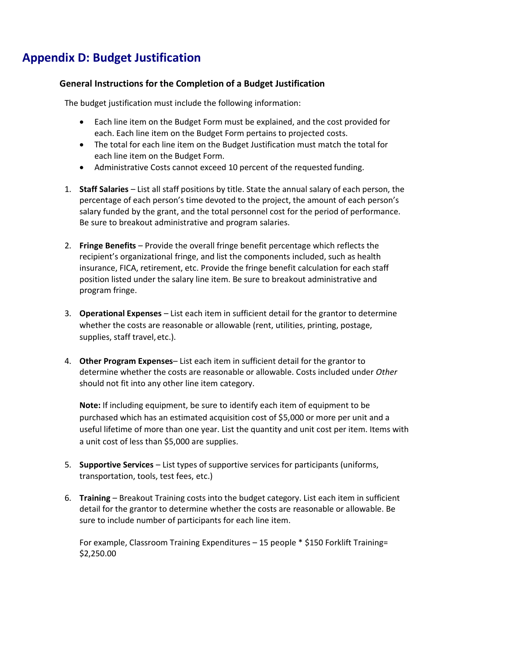# **Appendix D: Budget Justification**

# **General Instructions for the Completion of a Budget Justification**

The budget justification must include the following information:

- Each line item on the Budget Form must be explained, and the cost provided for each. Each line item on the Budget Form pertains to projected costs.
- The total for each line item on the Budget Justification must match the total for each line item on the Budget Form.
- Administrative Costs cannot exceed 10 percent of the requested funding.
- 1. **Staff Salaries**  List all staff positions by title. State the annual salary of each person, the percentage of each person's time devoted to the project, the amount of each person's salary funded by the grant, and the total personnel cost for the period of performance. Be sure to breakout administrative and program salaries.
- 2. **Fringe Benefits**  Provide the overall fringe benefit percentage which reflects the recipient's organizational fringe, and list the components included, such as health insurance, FICA, retirement, etc. Provide the fringe benefit calculation for each staff position listed under the salary line item. Be sure to breakout administrative and program fringe.
- 3. **Operational Expenses**  List each item in sufficient detail for the grantor to determine whether the costs are reasonable or allowable (rent, utilities, printing, postage, supplies, staff travel, etc.).
- 4. **Other Program Expenses** List each item in sufficient detail for the grantor to determine whether the costs are reasonable or allowable. Costs included under *Other*  should not fit into any other line item category.

**Note:** If including equipment, be sure to identify each item of equipment to be purchased which has an estimated acquisition cost of \$5,000 or more per unit and a useful lifetime of more than one year. List the quantity and unit cost per item. Items with a unit cost of less than \$5,000 are supplies.

- 5. **Supportive Services**  List types of supportive services for participants (uniforms, transportation, tools, test fees, etc.)
- 6. **Training**  Breakout Training costs into the budget category. List each item in sufficient detail for the grantor to determine whether the costs are reasonable or allowable. Be sure to include number of participants for each line item.

For example, Classroom Training Expenditures – 15 people \* \$150 Forklift Training= \$2,250.00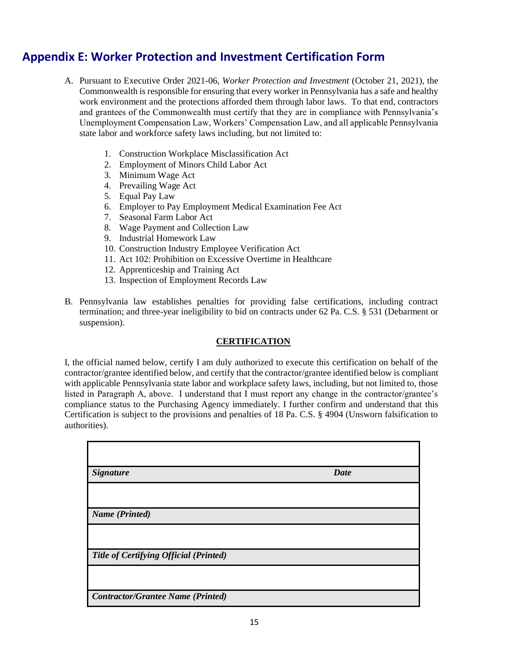# **Appendix E: Worker Protection and Investment Certification Form**

- A. Pursuant to Executive Order 2021-06, *Worker Protection and Investment* (October 21, 2021), the Commonwealth is responsible for ensuring that every worker in Pennsylvania has a safe and healthy work environment and the protections afforded them through labor laws. To that end, contractors and grantees of the Commonwealth must certify that they are in compliance with Pennsylvania's Unemployment Compensation Law, Workers' Compensation Law, and all applicable Pennsylvania state labor and workforce safety laws including, but not limited to:
	- 1. Construction Workplace Misclassification Act
	- 2. Employment of Minors Child Labor Act
	- 3. Minimum Wage Act
	- 4. Prevailing Wage Act
	- 5. Equal Pay Law
	- 6. Employer to Pay Employment Medical Examination Fee Act
	- 7. Seasonal Farm Labor Act
	- 8. Wage Payment and Collection Law
	- 9. Industrial Homework Law
	- 10. Construction Industry Employee Verification Act
	- 11. Act 102: Prohibition on Excessive Overtime in Healthcare
	- 12. Apprenticeship and Training Act
	- 13. Inspection of Employment Records Law
- B. Pennsylvania law establishes penalties for providing false certifications, including contract termination; and three-year ineligibility to bid on contracts under 62 Pa. C.S. § 531 (Debarment or suspension).

### **CERTIFICATION**

I, the official named below, certify I am duly authorized to execute this certification on behalf of the contractor/grantee identified below, and certify that the contractor/grantee identified below is compliant with applicable Pennsylvania state labor and workplace safety laws, including, but not limited to, those listed in Paragraph A, above. I understand that I must report any change in the contractor/grantee's compliance status to the Purchasing Agency immediately. I further confirm and understand that this Certification is subject to the provisions and penalties of 18 Pa. C.S. § 4904 (Unsworn falsification to authorities).

| <b>Signature</b>                         | <b>Date</b> |
|------------------------------------------|-------------|
|                                          |             |
| <b>Name</b> (Printed)                    |             |
|                                          |             |
| Title of Certifying Official (Printed)   |             |
|                                          |             |
| <b>Contractor/Grantee Name (Printed)</b> |             |